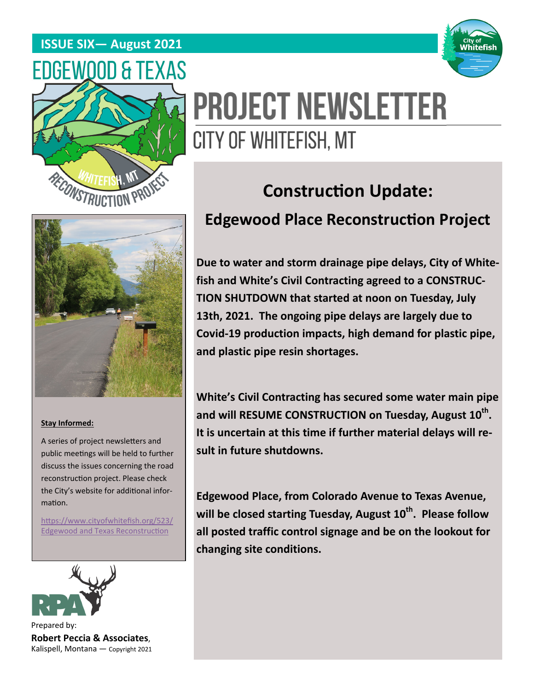### **ISSUE SIX— August 2021**





# **PROJECT NEWSLETTER** CITY OF WHITEFISH, MT

#### **Stay Informed:**

A series of project newsletters and public meetings will be held to further discuss the issues concerning the road reconstruction project. Please check the City's website for additional information.

https://www.cityofwhitefish.org/523/ Edgewood and Texas Reconstruction



Prepared by: **Robert Peccia & Associates**, Kalispell, Montana — Copyright 2021

# **Construction Update: Edgewood Place Reconstruction Project**

**Due to water and storm drainage pipe delays, City of Whitefish and White's Civil Contracting agreed to a CONSTRUC-TION SHUTDOWN that started at noon on Tuesday, July 13th, 2021. The ongoing pipe delays are largely due to Covid-19 production impacts, high demand for plastic pipe, and plastic pipe resin shortages.** 

**White's Civil Contracting has secured some water main pipe**  and will RESUME CONSTRUCTION on Tuesday, August 10<sup>th</sup>. **It is uncertain at this time if further material delays will result in future shutdowns.** 

**Edgewood Place, from Colorado Avenue to Texas Avenue,**  will be closed starting Tuesday, August 10<sup>th</sup>. Please follow **all posted traffic control signage and be on the lookout for changing site conditions.**